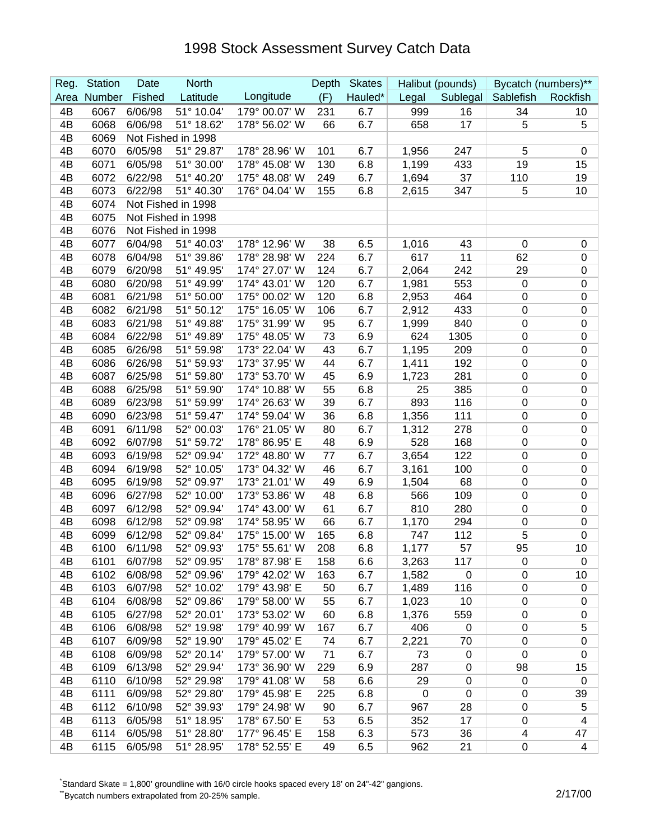## 1998 Stock Assessment Survey Catch Data

| Longitude<br>Number<br>Fished<br>Latitude<br>(F)<br>Hauled*<br>Area<br>Legal<br>Sublegal<br>Sablefish<br>Rockfish<br>4B<br>6/06/98<br>51° 10.04'<br>179° 00.07' W<br>6067<br>231<br>6.7<br>999<br>16<br>34<br>10<br>51° 18.62'<br>6.7<br>17<br>4B<br>6068<br>6/06/98<br>178° 56.02' W<br>658<br>5<br>5<br>66<br>6069<br>Not Fished in 1998<br>4B<br>51° 29.87'<br>4B<br>6070<br>6/05/98<br>178° 28.96' W<br>6.7<br>1,956<br>247<br>5<br>101<br>0<br>19<br>6071<br>6/05/98<br>51° 30.00'<br>178° 45.08' W<br>130<br>6.8<br>1,199<br>433<br>15<br>4B<br>6.7<br>4B<br>6072<br>6/22/98<br>51° 40.20'<br>175° 48.08' W<br>249<br>1,694<br>37<br>110<br>19<br>4B<br>6073<br>6/22/98<br>51° 40.30'<br>176° 04.04' W<br>6.8<br>5<br>10<br>155<br>2,615<br>347<br>6074<br>Not Fished in 1998<br>4B<br>6075<br>Not Fished in 1998<br>4B<br>4B<br>6076<br>Not Fished in 1998<br>6077<br>4B<br>6/04/98<br>51° 40.03'<br>178° 12.96' W<br>1,016<br>38<br>6.5<br>43<br>$\mathbf 0$<br>0<br>617<br>4B<br>6078<br>6/04/98<br>51° 39.86'<br>178° 28.98' W<br>6.7<br>11<br>62<br>224<br>0<br>4B<br>6079<br>6/20/98<br>51° 49.95'<br>174° 27.07' W<br>124<br>6.7<br>2,064<br>242<br>29<br>$\pmb{0}$<br>6080<br>51° 49.99'<br>174° 43.01' W<br>6.7<br>1,981<br>4B<br>6/20/98<br>120<br>553<br>$\pmb{0}$<br>$\pmb{0}$<br>6081<br>51° 50.00'<br>175° 00.02' W<br>6.8<br>2,953<br>4B<br>6/21/98<br>120<br>464<br>$\pmb{0}$<br>$\pmb{0}$<br>6082<br>51° 50.12'<br>6.7<br>6/21/98<br>175° 16.05' W<br>106<br>2,912<br>433<br>$\boldsymbol{0}$<br>$\pmb{0}$<br>4B<br>175° 31.99' W<br>6.7<br>4B<br>6083<br>6/21/98<br>51° 49.88'<br>95<br>1,999<br>840<br>$\,0\,$<br>$\pmb{0}$<br>73<br>6.9<br>624<br>6084<br>6/22/98<br>51° 49.89'<br>175° 48.05' W<br>1305<br>$\,0\,$<br>$\pmb{0}$<br>4B<br>1,195<br>4B<br>6085<br>6/26/98<br>51° 59.98'<br>173° 22.04' W<br>43<br>6.7<br>209<br>$\pmb{0}$<br>$\pmb{0}$<br>4B<br>6086<br>6/26/98<br>51° 59.93'<br>173° 37.95' W<br>44<br>6.7<br>1,411<br>192<br>$\pmb{0}$<br>$\pmb{0}$<br>6087<br>6/25/98<br>51° 59.80'<br>173° 53.70' W<br>45<br>1,723<br>$\,0\,$<br>$\pmb{0}$<br>4B<br>6.9<br>281<br>174° 10.88' W<br>6088<br>6/25/98<br>51° 59.90'<br>55<br>6.8<br>25<br>385<br>$\,0\,$<br>$\pmb{0}$<br>4B<br>174° 26.63' W<br>4B<br>6089<br>6/23/98<br>51° 59.99'<br>39<br>6.7<br>893<br>116<br>$\,0\,$<br>$\pmb{0}$<br>6090<br>6/23/98<br>51° 59.47'<br>174° 59.04' W<br>36<br>6.8<br>1,356<br>111<br>$\boldsymbol{0}$<br>$\pmb{0}$<br>4B<br>4B<br>6091<br>6/11/98<br>52° 00.03'<br>176° 21.05' W<br>80<br>6.7<br>1,312<br>278<br>$\boldsymbol{0}$<br>$\pmb{0}$<br>6092<br>6.9<br>528<br>4B<br>6/07/98<br>51° 59.72'<br>178° 86.95' E<br>48<br>168<br>$\pmb{0}$<br>$\pmb{0}$<br>52° 09.94'<br>6.7<br>3,654<br>122<br>$\mathbf 0$<br>4B<br>6093<br>6/19/98<br>172° 48.80' W<br>77<br>$\pmb{0}$<br>6094<br>6/19/98<br>52° 10.05'<br>173° 04.32' W<br>46<br>6.7<br>3,161<br>100<br>$\,0\,$<br>$\pmb{0}$<br>4B<br>173° 21.01' W<br>6.9<br>4B<br>6095<br>6/19/98<br>52° 09.97'<br>49<br>1,504<br>$\,0\,$<br>$\pmb{0}$<br>68<br>6096<br>6/27/98<br>52° 10.00'<br>173° 53.86' W<br>48<br>6.8<br>566<br>109<br>$\boldsymbol{0}$<br>$\pmb{0}$<br>4B<br>61<br>810<br>$\pmb{0}$<br>6097<br>6/12/98<br>52° 09.94'<br>174° 43.00' W<br>6.7<br>280<br>$\pmb{0}$<br>4B<br>4B<br>6098<br>6/12/98<br>52° 09.98'<br>174° 58.95' W<br>66<br>6.7<br>1,170<br>$\boldsymbol{0}$<br>$\pmb{0}$<br>294<br>112<br>5<br>4B<br>6099<br>6/12/98<br>52° 09.84'<br>175° 15.00' W<br>165<br>6.8<br>747<br>$\pmb{0}$<br>52° 09.93'<br>6.8<br>1,177<br>95<br>4B<br>6100<br>6/11/98<br>175° 55.61' W<br>208<br>57<br>10<br>6/07/98<br>178° 87.98' E<br>4B<br>6101<br>52° 09.95'<br>158<br>3,263<br>117<br>0<br>6.6<br>0<br>6102<br>4B<br>6/08/98<br>52° 09.96'<br>179° 42.02' W<br>6.7<br>1,582<br>$\mathbf 0$<br>163<br>0<br>10<br>6103<br>4B<br>6/07/98<br>52° 10.02'<br>179° 43.98' E<br>50<br>6.7<br>1,489<br>116<br>0<br>$\boldsymbol{0}$<br>6104<br>1,023<br>4B<br>6/08/98<br>52° 09.86'<br>179° 58.00' W<br>55<br>6.7<br>10<br>$\pmb{0}$<br>$\pmb{0}$<br>6105<br>6/27/98<br>52° 20.01'<br>173° 53.02' W<br>6.8<br>1,376<br>4B<br>60<br>559<br>0<br>$\pmb{0}$<br>6106<br>52° 19.98'<br>179° 40.99' W<br>6.7<br>406<br>5<br>4B<br>6/08/98<br>167<br>$\mathbf 0$<br>0<br>6107<br>52° 19.90'<br>179° 45.02' E<br>6.7<br>2,221<br>$\pmb{0}$<br>$\pmb{0}$<br>4B<br>6/09/98<br>74<br>70<br>6108<br>179° 57.00' W<br>4B<br>6/09/98<br>52° 20.14'<br>71<br>6.7<br>73<br>$\mathbf 0$<br>0<br>0<br>6109<br>52° 29.94'<br>173° 36.90' W<br>4B<br>6/13/98<br>229<br>6.9<br>287<br>98<br>15<br>0<br>6110<br>179° 41.08' W<br>6.6<br>4B<br>6/10/98<br>52° 29.98'<br>58<br>29<br>$\mathbf 0$<br>$\mathbf 0$<br>0<br>4B<br>6111<br>6/09/98<br>52° 29.80'<br>179° 45.98' E<br>225<br>6.8<br>$\mathbf 0$<br>$\mathbf 0$<br>39<br>0<br>6112<br>179° 24.98' W<br>6/10/98<br>52° 39.93'<br>6.7<br>967<br>28<br>$\mathbf 0$<br>$\sqrt{5}$<br>4B<br>90<br>6113<br>178° 67.50' E<br>4B<br>6/05/98<br>51° 18.95'<br>53<br>6.5<br>352<br>17<br>0<br>4<br>177° 96.45' E<br>573<br>4B<br>6114<br>6/05/98<br>51° 28.80'<br>158<br>6.3<br>4<br>36<br>47<br>4B<br>6115<br>51° 28.95'<br>178° 52.55' E<br>962<br>6/05/98<br>49<br>6.5<br>21<br>4<br>0 | Reg. | <b>Station</b> | Date | <b>North</b> | Depth | <b>Skates</b> | Halibut (pounds) | Bycatch (numbers)** |
|-------------------------------------------------------------------------------------------------------------------------------------------------------------------------------------------------------------------------------------------------------------------------------------------------------------------------------------------------------------------------------------------------------------------------------------------------------------------------------------------------------------------------------------------------------------------------------------------------------------------------------------------------------------------------------------------------------------------------------------------------------------------------------------------------------------------------------------------------------------------------------------------------------------------------------------------------------------------------------------------------------------------------------------------------------------------------------------------------------------------------------------------------------------------------------------------------------------------------------------------------------------------------------------------------------------------------------------------------------------------------------------------------------------------------------------------------------------------------------------------------------------------------------------------------------------------------------------------------------------------------------------------------------------------------------------------------------------------------------------------------------------------------------------------------------------------------------------------------------------------------------------------------------------------------------------------------------------------------------------------------------------------------------------------------------------------------------------------------------------------------------------------------------------------------------------------------------------------------------------------------------------------------------------------------------------------------------------------------------------------------------------------------------------------------------------------------------------------------------------------------------------------------------------------------------------------------------------------------------------------------------------------------------------------------------------------------------------------------------------------------------------------------------------------------------------------------------------------------------------------------------------------------------------------------------------------------------------------------------------------------------------------------------------------------------------------------------------------------------------------------------------------------------------------------------------------------------------------------------------------------------------------------------------------------------------------------------------------------------------------------------------------------------------------------------------------------------------------------------------------------------------------------------------------------------------------------------------------------------------------------------------------------------------------------------------------------------------------------------------------------------------------------------------------------------------------------------------------------------------------------------------------------------------------------------------------------------------------------------------------------------------------------------------------------------------------------------------------------------------------------------------------------------------------------------------------------------------------------------------------------------------------------------------------------------------------------------------------------------------------------------------------------------------------------------------------------------------------------------------------------------------------------------------------------------------------------------------------------------------------------------------------------------------------------------------------------------------------------------------------------------------------------------------------------------------------------------------------------------------------------------------------------------------------------------------------------------------------------------------------------------------------------------------------------------------------------------------------------------------------------------------------------------------------------------------------------------|------|----------------|------|--------------|-------|---------------|------------------|---------------------|
|                                                                                                                                                                                                                                                                                                                                                                                                                                                                                                                                                                                                                                                                                                                                                                                                                                                                                                                                                                                                                                                                                                                                                                                                                                                                                                                                                                                                                                                                                                                                                                                                                                                                                                                                                                                                                                                                                                                                                                                                                                                                                                                                                                                                                                                                                                                                                                                                                                                                                                                                                                                                                                                                                                                                                                                                                                                                                                                                                                                                                                                                                                                                                                                                                                                                                                                                                                                                                                                                                                                                                                                                                                                                                                                                                                                                                                                                                                                                                                                                                                                                                                                                                                                                                                                                                                                                                                                                                                                                                                                                                                                                                                                                                                                                                                                                                                                                                                                                                                                                                                                                                                                                                                                                       |      |                |      |              |       |               |                  |                     |
|                                                                                                                                                                                                                                                                                                                                                                                                                                                                                                                                                                                                                                                                                                                                                                                                                                                                                                                                                                                                                                                                                                                                                                                                                                                                                                                                                                                                                                                                                                                                                                                                                                                                                                                                                                                                                                                                                                                                                                                                                                                                                                                                                                                                                                                                                                                                                                                                                                                                                                                                                                                                                                                                                                                                                                                                                                                                                                                                                                                                                                                                                                                                                                                                                                                                                                                                                                                                                                                                                                                                                                                                                                                                                                                                                                                                                                                                                                                                                                                                                                                                                                                                                                                                                                                                                                                                                                                                                                                                                                                                                                                                                                                                                                                                                                                                                                                                                                                                                                                                                                                                                                                                                                                                       |      |                |      |              |       |               |                  |                     |
|                                                                                                                                                                                                                                                                                                                                                                                                                                                                                                                                                                                                                                                                                                                                                                                                                                                                                                                                                                                                                                                                                                                                                                                                                                                                                                                                                                                                                                                                                                                                                                                                                                                                                                                                                                                                                                                                                                                                                                                                                                                                                                                                                                                                                                                                                                                                                                                                                                                                                                                                                                                                                                                                                                                                                                                                                                                                                                                                                                                                                                                                                                                                                                                                                                                                                                                                                                                                                                                                                                                                                                                                                                                                                                                                                                                                                                                                                                                                                                                                                                                                                                                                                                                                                                                                                                                                                                                                                                                                                                                                                                                                                                                                                                                                                                                                                                                                                                                                                                                                                                                                                                                                                                                                       |      |                |      |              |       |               |                  |                     |
|                                                                                                                                                                                                                                                                                                                                                                                                                                                                                                                                                                                                                                                                                                                                                                                                                                                                                                                                                                                                                                                                                                                                                                                                                                                                                                                                                                                                                                                                                                                                                                                                                                                                                                                                                                                                                                                                                                                                                                                                                                                                                                                                                                                                                                                                                                                                                                                                                                                                                                                                                                                                                                                                                                                                                                                                                                                                                                                                                                                                                                                                                                                                                                                                                                                                                                                                                                                                                                                                                                                                                                                                                                                                                                                                                                                                                                                                                                                                                                                                                                                                                                                                                                                                                                                                                                                                                                                                                                                                                                                                                                                                                                                                                                                                                                                                                                                                                                                                                                                                                                                                                                                                                                                                       |      |                |      |              |       |               |                  |                     |
|                                                                                                                                                                                                                                                                                                                                                                                                                                                                                                                                                                                                                                                                                                                                                                                                                                                                                                                                                                                                                                                                                                                                                                                                                                                                                                                                                                                                                                                                                                                                                                                                                                                                                                                                                                                                                                                                                                                                                                                                                                                                                                                                                                                                                                                                                                                                                                                                                                                                                                                                                                                                                                                                                                                                                                                                                                                                                                                                                                                                                                                                                                                                                                                                                                                                                                                                                                                                                                                                                                                                                                                                                                                                                                                                                                                                                                                                                                                                                                                                                                                                                                                                                                                                                                                                                                                                                                                                                                                                                                                                                                                                                                                                                                                                                                                                                                                                                                                                                                                                                                                                                                                                                                                                       |      |                |      |              |       |               |                  |                     |
|                                                                                                                                                                                                                                                                                                                                                                                                                                                                                                                                                                                                                                                                                                                                                                                                                                                                                                                                                                                                                                                                                                                                                                                                                                                                                                                                                                                                                                                                                                                                                                                                                                                                                                                                                                                                                                                                                                                                                                                                                                                                                                                                                                                                                                                                                                                                                                                                                                                                                                                                                                                                                                                                                                                                                                                                                                                                                                                                                                                                                                                                                                                                                                                                                                                                                                                                                                                                                                                                                                                                                                                                                                                                                                                                                                                                                                                                                                                                                                                                                                                                                                                                                                                                                                                                                                                                                                                                                                                                                                                                                                                                                                                                                                                                                                                                                                                                                                                                                                                                                                                                                                                                                                                                       |      |                |      |              |       |               |                  |                     |
|                                                                                                                                                                                                                                                                                                                                                                                                                                                                                                                                                                                                                                                                                                                                                                                                                                                                                                                                                                                                                                                                                                                                                                                                                                                                                                                                                                                                                                                                                                                                                                                                                                                                                                                                                                                                                                                                                                                                                                                                                                                                                                                                                                                                                                                                                                                                                                                                                                                                                                                                                                                                                                                                                                                                                                                                                                                                                                                                                                                                                                                                                                                                                                                                                                                                                                                                                                                                                                                                                                                                                                                                                                                                                                                                                                                                                                                                                                                                                                                                                                                                                                                                                                                                                                                                                                                                                                                                                                                                                                                                                                                                                                                                                                                                                                                                                                                                                                                                                                                                                                                                                                                                                                                                       |      |                |      |              |       |               |                  |                     |
|                                                                                                                                                                                                                                                                                                                                                                                                                                                                                                                                                                                                                                                                                                                                                                                                                                                                                                                                                                                                                                                                                                                                                                                                                                                                                                                                                                                                                                                                                                                                                                                                                                                                                                                                                                                                                                                                                                                                                                                                                                                                                                                                                                                                                                                                                                                                                                                                                                                                                                                                                                                                                                                                                                                                                                                                                                                                                                                                                                                                                                                                                                                                                                                                                                                                                                                                                                                                                                                                                                                                                                                                                                                                                                                                                                                                                                                                                                                                                                                                                                                                                                                                                                                                                                                                                                                                                                                                                                                                                                                                                                                                                                                                                                                                                                                                                                                                                                                                                                                                                                                                                                                                                                                                       |      |                |      |              |       |               |                  |                     |
|                                                                                                                                                                                                                                                                                                                                                                                                                                                                                                                                                                                                                                                                                                                                                                                                                                                                                                                                                                                                                                                                                                                                                                                                                                                                                                                                                                                                                                                                                                                                                                                                                                                                                                                                                                                                                                                                                                                                                                                                                                                                                                                                                                                                                                                                                                                                                                                                                                                                                                                                                                                                                                                                                                                                                                                                                                                                                                                                                                                                                                                                                                                                                                                                                                                                                                                                                                                                                                                                                                                                                                                                                                                                                                                                                                                                                                                                                                                                                                                                                                                                                                                                                                                                                                                                                                                                                                                                                                                                                                                                                                                                                                                                                                                                                                                                                                                                                                                                                                                                                                                                                                                                                                                                       |      |                |      |              |       |               |                  |                     |
|                                                                                                                                                                                                                                                                                                                                                                                                                                                                                                                                                                                                                                                                                                                                                                                                                                                                                                                                                                                                                                                                                                                                                                                                                                                                                                                                                                                                                                                                                                                                                                                                                                                                                                                                                                                                                                                                                                                                                                                                                                                                                                                                                                                                                                                                                                                                                                                                                                                                                                                                                                                                                                                                                                                                                                                                                                                                                                                                                                                                                                                                                                                                                                                                                                                                                                                                                                                                                                                                                                                                                                                                                                                                                                                                                                                                                                                                                                                                                                                                                                                                                                                                                                                                                                                                                                                                                                                                                                                                                                                                                                                                                                                                                                                                                                                                                                                                                                                                                                                                                                                                                                                                                                                                       |      |                |      |              |       |               |                  |                     |
|                                                                                                                                                                                                                                                                                                                                                                                                                                                                                                                                                                                                                                                                                                                                                                                                                                                                                                                                                                                                                                                                                                                                                                                                                                                                                                                                                                                                                                                                                                                                                                                                                                                                                                                                                                                                                                                                                                                                                                                                                                                                                                                                                                                                                                                                                                                                                                                                                                                                                                                                                                                                                                                                                                                                                                                                                                                                                                                                                                                                                                                                                                                                                                                                                                                                                                                                                                                                                                                                                                                                                                                                                                                                                                                                                                                                                                                                                                                                                                                                                                                                                                                                                                                                                                                                                                                                                                                                                                                                                                                                                                                                                                                                                                                                                                                                                                                                                                                                                                                                                                                                                                                                                                                                       |      |                |      |              |       |               |                  |                     |
|                                                                                                                                                                                                                                                                                                                                                                                                                                                                                                                                                                                                                                                                                                                                                                                                                                                                                                                                                                                                                                                                                                                                                                                                                                                                                                                                                                                                                                                                                                                                                                                                                                                                                                                                                                                                                                                                                                                                                                                                                                                                                                                                                                                                                                                                                                                                                                                                                                                                                                                                                                                                                                                                                                                                                                                                                                                                                                                                                                                                                                                                                                                                                                                                                                                                                                                                                                                                                                                                                                                                                                                                                                                                                                                                                                                                                                                                                                                                                                                                                                                                                                                                                                                                                                                                                                                                                                                                                                                                                                                                                                                                                                                                                                                                                                                                                                                                                                                                                                                                                                                                                                                                                                                                       |      |                |      |              |       |               |                  |                     |
|                                                                                                                                                                                                                                                                                                                                                                                                                                                                                                                                                                                                                                                                                                                                                                                                                                                                                                                                                                                                                                                                                                                                                                                                                                                                                                                                                                                                                                                                                                                                                                                                                                                                                                                                                                                                                                                                                                                                                                                                                                                                                                                                                                                                                                                                                                                                                                                                                                                                                                                                                                                                                                                                                                                                                                                                                                                                                                                                                                                                                                                                                                                                                                                                                                                                                                                                                                                                                                                                                                                                                                                                                                                                                                                                                                                                                                                                                                                                                                                                                                                                                                                                                                                                                                                                                                                                                                                                                                                                                                                                                                                                                                                                                                                                                                                                                                                                                                                                                                                                                                                                                                                                                                                                       |      |                |      |              |       |               |                  |                     |
|                                                                                                                                                                                                                                                                                                                                                                                                                                                                                                                                                                                                                                                                                                                                                                                                                                                                                                                                                                                                                                                                                                                                                                                                                                                                                                                                                                                                                                                                                                                                                                                                                                                                                                                                                                                                                                                                                                                                                                                                                                                                                                                                                                                                                                                                                                                                                                                                                                                                                                                                                                                                                                                                                                                                                                                                                                                                                                                                                                                                                                                                                                                                                                                                                                                                                                                                                                                                                                                                                                                                                                                                                                                                                                                                                                                                                                                                                                                                                                                                                                                                                                                                                                                                                                                                                                                                                                                                                                                                                                                                                                                                                                                                                                                                                                                                                                                                                                                                                                                                                                                                                                                                                                                                       |      |                |      |              |       |               |                  |                     |
|                                                                                                                                                                                                                                                                                                                                                                                                                                                                                                                                                                                                                                                                                                                                                                                                                                                                                                                                                                                                                                                                                                                                                                                                                                                                                                                                                                                                                                                                                                                                                                                                                                                                                                                                                                                                                                                                                                                                                                                                                                                                                                                                                                                                                                                                                                                                                                                                                                                                                                                                                                                                                                                                                                                                                                                                                                                                                                                                                                                                                                                                                                                                                                                                                                                                                                                                                                                                                                                                                                                                                                                                                                                                                                                                                                                                                                                                                                                                                                                                                                                                                                                                                                                                                                                                                                                                                                                                                                                                                                                                                                                                                                                                                                                                                                                                                                                                                                                                                                                                                                                                                                                                                                                                       |      |                |      |              |       |               |                  |                     |
|                                                                                                                                                                                                                                                                                                                                                                                                                                                                                                                                                                                                                                                                                                                                                                                                                                                                                                                                                                                                                                                                                                                                                                                                                                                                                                                                                                                                                                                                                                                                                                                                                                                                                                                                                                                                                                                                                                                                                                                                                                                                                                                                                                                                                                                                                                                                                                                                                                                                                                                                                                                                                                                                                                                                                                                                                                                                                                                                                                                                                                                                                                                                                                                                                                                                                                                                                                                                                                                                                                                                                                                                                                                                                                                                                                                                                                                                                                                                                                                                                                                                                                                                                                                                                                                                                                                                                                                                                                                                                                                                                                                                                                                                                                                                                                                                                                                                                                                                                                                                                                                                                                                                                                                                       |      |                |      |              |       |               |                  |                     |
|                                                                                                                                                                                                                                                                                                                                                                                                                                                                                                                                                                                                                                                                                                                                                                                                                                                                                                                                                                                                                                                                                                                                                                                                                                                                                                                                                                                                                                                                                                                                                                                                                                                                                                                                                                                                                                                                                                                                                                                                                                                                                                                                                                                                                                                                                                                                                                                                                                                                                                                                                                                                                                                                                                                                                                                                                                                                                                                                                                                                                                                                                                                                                                                                                                                                                                                                                                                                                                                                                                                                                                                                                                                                                                                                                                                                                                                                                                                                                                                                                                                                                                                                                                                                                                                                                                                                                                                                                                                                                                                                                                                                                                                                                                                                                                                                                                                                                                                                                                                                                                                                                                                                                                                                       |      |                |      |              |       |               |                  |                     |
|                                                                                                                                                                                                                                                                                                                                                                                                                                                                                                                                                                                                                                                                                                                                                                                                                                                                                                                                                                                                                                                                                                                                                                                                                                                                                                                                                                                                                                                                                                                                                                                                                                                                                                                                                                                                                                                                                                                                                                                                                                                                                                                                                                                                                                                                                                                                                                                                                                                                                                                                                                                                                                                                                                                                                                                                                                                                                                                                                                                                                                                                                                                                                                                                                                                                                                                                                                                                                                                                                                                                                                                                                                                                                                                                                                                                                                                                                                                                                                                                                                                                                                                                                                                                                                                                                                                                                                                                                                                                                                                                                                                                                                                                                                                                                                                                                                                                                                                                                                                                                                                                                                                                                                                                       |      |                |      |              |       |               |                  |                     |
|                                                                                                                                                                                                                                                                                                                                                                                                                                                                                                                                                                                                                                                                                                                                                                                                                                                                                                                                                                                                                                                                                                                                                                                                                                                                                                                                                                                                                                                                                                                                                                                                                                                                                                                                                                                                                                                                                                                                                                                                                                                                                                                                                                                                                                                                                                                                                                                                                                                                                                                                                                                                                                                                                                                                                                                                                                                                                                                                                                                                                                                                                                                                                                                                                                                                                                                                                                                                                                                                                                                                                                                                                                                                                                                                                                                                                                                                                                                                                                                                                                                                                                                                                                                                                                                                                                                                                                                                                                                                                                                                                                                                                                                                                                                                                                                                                                                                                                                                                                                                                                                                                                                                                                                                       |      |                |      |              |       |               |                  |                     |
|                                                                                                                                                                                                                                                                                                                                                                                                                                                                                                                                                                                                                                                                                                                                                                                                                                                                                                                                                                                                                                                                                                                                                                                                                                                                                                                                                                                                                                                                                                                                                                                                                                                                                                                                                                                                                                                                                                                                                                                                                                                                                                                                                                                                                                                                                                                                                                                                                                                                                                                                                                                                                                                                                                                                                                                                                                                                                                                                                                                                                                                                                                                                                                                                                                                                                                                                                                                                                                                                                                                                                                                                                                                                                                                                                                                                                                                                                                                                                                                                                                                                                                                                                                                                                                                                                                                                                                                                                                                                                                                                                                                                                                                                                                                                                                                                                                                                                                                                                                                                                                                                                                                                                                                                       |      |                |      |              |       |               |                  |                     |
|                                                                                                                                                                                                                                                                                                                                                                                                                                                                                                                                                                                                                                                                                                                                                                                                                                                                                                                                                                                                                                                                                                                                                                                                                                                                                                                                                                                                                                                                                                                                                                                                                                                                                                                                                                                                                                                                                                                                                                                                                                                                                                                                                                                                                                                                                                                                                                                                                                                                                                                                                                                                                                                                                                                                                                                                                                                                                                                                                                                                                                                                                                                                                                                                                                                                                                                                                                                                                                                                                                                                                                                                                                                                                                                                                                                                                                                                                                                                                                                                                                                                                                                                                                                                                                                                                                                                                                                                                                                                                                                                                                                                                                                                                                                                                                                                                                                                                                                                                                                                                                                                                                                                                                                                       |      |                |      |              |       |               |                  |                     |
|                                                                                                                                                                                                                                                                                                                                                                                                                                                                                                                                                                                                                                                                                                                                                                                                                                                                                                                                                                                                                                                                                                                                                                                                                                                                                                                                                                                                                                                                                                                                                                                                                                                                                                                                                                                                                                                                                                                                                                                                                                                                                                                                                                                                                                                                                                                                                                                                                                                                                                                                                                                                                                                                                                                                                                                                                                                                                                                                                                                                                                                                                                                                                                                                                                                                                                                                                                                                                                                                                                                                                                                                                                                                                                                                                                                                                                                                                                                                                                                                                                                                                                                                                                                                                                                                                                                                                                                                                                                                                                                                                                                                                                                                                                                                                                                                                                                                                                                                                                                                                                                                                                                                                                                                       |      |                |      |              |       |               |                  |                     |
|                                                                                                                                                                                                                                                                                                                                                                                                                                                                                                                                                                                                                                                                                                                                                                                                                                                                                                                                                                                                                                                                                                                                                                                                                                                                                                                                                                                                                                                                                                                                                                                                                                                                                                                                                                                                                                                                                                                                                                                                                                                                                                                                                                                                                                                                                                                                                                                                                                                                                                                                                                                                                                                                                                                                                                                                                                                                                                                                                                                                                                                                                                                                                                                                                                                                                                                                                                                                                                                                                                                                                                                                                                                                                                                                                                                                                                                                                                                                                                                                                                                                                                                                                                                                                                                                                                                                                                                                                                                                                                                                                                                                                                                                                                                                                                                                                                                                                                                                                                                                                                                                                                                                                                                                       |      |                |      |              |       |               |                  |                     |
|                                                                                                                                                                                                                                                                                                                                                                                                                                                                                                                                                                                                                                                                                                                                                                                                                                                                                                                                                                                                                                                                                                                                                                                                                                                                                                                                                                                                                                                                                                                                                                                                                                                                                                                                                                                                                                                                                                                                                                                                                                                                                                                                                                                                                                                                                                                                                                                                                                                                                                                                                                                                                                                                                                                                                                                                                                                                                                                                                                                                                                                                                                                                                                                                                                                                                                                                                                                                                                                                                                                                                                                                                                                                                                                                                                                                                                                                                                                                                                                                                                                                                                                                                                                                                                                                                                                                                                                                                                                                                                                                                                                                                                                                                                                                                                                                                                                                                                                                                                                                                                                                                                                                                                                                       |      |                |      |              |       |               |                  |                     |
|                                                                                                                                                                                                                                                                                                                                                                                                                                                                                                                                                                                                                                                                                                                                                                                                                                                                                                                                                                                                                                                                                                                                                                                                                                                                                                                                                                                                                                                                                                                                                                                                                                                                                                                                                                                                                                                                                                                                                                                                                                                                                                                                                                                                                                                                                                                                                                                                                                                                                                                                                                                                                                                                                                                                                                                                                                                                                                                                                                                                                                                                                                                                                                                                                                                                                                                                                                                                                                                                                                                                                                                                                                                                                                                                                                                                                                                                                                                                                                                                                                                                                                                                                                                                                                                                                                                                                                                                                                                                                                                                                                                                                                                                                                                                                                                                                                                                                                                                                                                                                                                                                                                                                                                                       |      |                |      |              |       |               |                  |                     |
|                                                                                                                                                                                                                                                                                                                                                                                                                                                                                                                                                                                                                                                                                                                                                                                                                                                                                                                                                                                                                                                                                                                                                                                                                                                                                                                                                                                                                                                                                                                                                                                                                                                                                                                                                                                                                                                                                                                                                                                                                                                                                                                                                                                                                                                                                                                                                                                                                                                                                                                                                                                                                                                                                                                                                                                                                                                                                                                                                                                                                                                                                                                                                                                                                                                                                                                                                                                                                                                                                                                                                                                                                                                                                                                                                                                                                                                                                                                                                                                                                                                                                                                                                                                                                                                                                                                                                                                                                                                                                                                                                                                                                                                                                                                                                                                                                                                                                                                                                                                                                                                                                                                                                                                                       |      |                |      |              |       |               |                  |                     |
|                                                                                                                                                                                                                                                                                                                                                                                                                                                                                                                                                                                                                                                                                                                                                                                                                                                                                                                                                                                                                                                                                                                                                                                                                                                                                                                                                                                                                                                                                                                                                                                                                                                                                                                                                                                                                                                                                                                                                                                                                                                                                                                                                                                                                                                                                                                                                                                                                                                                                                                                                                                                                                                                                                                                                                                                                                                                                                                                                                                                                                                                                                                                                                                                                                                                                                                                                                                                                                                                                                                                                                                                                                                                                                                                                                                                                                                                                                                                                                                                                                                                                                                                                                                                                                                                                                                                                                                                                                                                                                                                                                                                                                                                                                                                                                                                                                                                                                                                                                                                                                                                                                                                                                                                       |      |                |      |              |       |               |                  |                     |
|                                                                                                                                                                                                                                                                                                                                                                                                                                                                                                                                                                                                                                                                                                                                                                                                                                                                                                                                                                                                                                                                                                                                                                                                                                                                                                                                                                                                                                                                                                                                                                                                                                                                                                                                                                                                                                                                                                                                                                                                                                                                                                                                                                                                                                                                                                                                                                                                                                                                                                                                                                                                                                                                                                                                                                                                                                                                                                                                                                                                                                                                                                                                                                                                                                                                                                                                                                                                                                                                                                                                                                                                                                                                                                                                                                                                                                                                                                                                                                                                                                                                                                                                                                                                                                                                                                                                                                                                                                                                                                                                                                                                                                                                                                                                                                                                                                                                                                                                                                                                                                                                                                                                                                                                       |      |                |      |              |       |               |                  |                     |
|                                                                                                                                                                                                                                                                                                                                                                                                                                                                                                                                                                                                                                                                                                                                                                                                                                                                                                                                                                                                                                                                                                                                                                                                                                                                                                                                                                                                                                                                                                                                                                                                                                                                                                                                                                                                                                                                                                                                                                                                                                                                                                                                                                                                                                                                                                                                                                                                                                                                                                                                                                                                                                                                                                                                                                                                                                                                                                                                                                                                                                                                                                                                                                                                                                                                                                                                                                                                                                                                                                                                                                                                                                                                                                                                                                                                                                                                                                                                                                                                                                                                                                                                                                                                                                                                                                                                                                                                                                                                                                                                                                                                                                                                                                                                                                                                                                                                                                                                                                                                                                                                                                                                                                                                       |      |                |      |              |       |               |                  |                     |
|                                                                                                                                                                                                                                                                                                                                                                                                                                                                                                                                                                                                                                                                                                                                                                                                                                                                                                                                                                                                                                                                                                                                                                                                                                                                                                                                                                                                                                                                                                                                                                                                                                                                                                                                                                                                                                                                                                                                                                                                                                                                                                                                                                                                                                                                                                                                                                                                                                                                                                                                                                                                                                                                                                                                                                                                                                                                                                                                                                                                                                                                                                                                                                                                                                                                                                                                                                                                                                                                                                                                                                                                                                                                                                                                                                                                                                                                                                                                                                                                                                                                                                                                                                                                                                                                                                                                                                                                                                                                                                                                                                                                                                                                                                                                                                                                                                                                                                                                                                                                                                                                                                                                                                                                       |      |                |      |              |       |               |                  |                     |
|                                                                                                                                                                                                                                                                                                                                                                                                                                                                                                                                                                                                                                                                                                                                                                                                                                                                                                                                                                                                                                                                                                                                                                                                                                                                                                                                                                                                                                                                                                                                                                                                                                                                                                                                                                                                                                                                                                                                                                                                                                                                                                                                                                                                                                                                                                                                                                                                                                                                                                                                                                                                                                                                                                                                                                                                                                                                                                                                                                                                                                                                                                                                                                                                                                                                                                                                                                                                                                                                                                                                                                                                                                                                                                                                                                                                                                                                                                                                                                                                                                                                                                                                                                                                                                                                                                                                                                                                                                                                                                                                                                                                                                                                                                                                                                                                                                                                                                                                                                                                                                                                                                                                                                                                       |      |                |      |              |       |               |                  |                     |
|                                                                                                                                                                                                                                                                                                                                                                                                                                                                                                                                                                                                                                                                                                                                                                                                                                                                                                                                                                                                                                                                                                                                                                                                                                                                                                                                                                                                                                                                                                                                                                                                                                                                                                                                                                                                                                                                                                                                                                                                                                                                                                                                                                                                                                                                                                                                                                                                                                                                                                                                                                                                                                                                                                                                                                                                                                                                                                                                                                                                                                                                                                                                                                                                                                                                                                                                                                                                                                                                                                                                                                                                                                                                                                                                                                                                                                                                                                                                                                                                                                                                                                                                                                                                                                                                                                                                                                                                                                                                                                                                                                                                                                                                                                                                                                                                                                                                                                                                                                                                                                                                                                                                                                                                       |      |                |      |              |       |               |                  |                     |
|                                                                                                                                                                                                                                                                                                                                                                                                                                                                                                                                                                                                                                                                                                                                                                                                                                                                                                                                                                                                                                                                                                                                                                                                                                                                                                                                                                                                                                                                                                                                                                                                                                                                                                                                                                                                                                                                                                                                                                                                                                                                                                                                                                                                                                                                                                                                                                                                                                                                                                                                                                                                                                                                                                                                                                                                                                                                                                                                                                                                                                                                                                                                                                                                                                                                                                                                                                                                                                                                                                                                                                                                                                                                                                                                                                                                                                                                                                                                                                                                                                                                                                                                                                                                                                                                                                                                                                                                                                                                                                                                                                                                                                                                                                                                                                                                                                                                                                                                                                                                                                                                                                                                                                                                       |      |                |      |              |       |               |                  |                     |
|                                                                                                                                                                                                                                                                                                                                                                                                                                                                                                                                                                                                                                                                                                                                                                                                                                                                                                                                                                                                                                                                                                                                                                                                                                                                                                                                                                                                                                                                                                                                                                                                                                                                                                                                                                                                                                                                                                                                                                                                                                                                                                                                                                                                                                                                                                                                                                                                                                                                                                                                                                                                                                                                                                                                                                                                                                                                                                                                                                                                                                                                                                                                                                                                                                                                                                                                                                                                                                                                                                                                                                                                                                                                                                                                                                                                                                                                                                                                                                                                                                                                                                                                                                                                                                                                                                                                                                                                                                                                                                                                                                                                                                                                                                                                                                                                                                                                                                                                                                                                                                                                                                                                                                                                       |      |                |      |              |       |               |                  |                     |
|                                                                                                                                                                                                                                                                                                                                                                                                                                                                                                                                                                                                                                                                                                                                                                                                                                                                                                                                                                                                                                                                                                                                                                                                                                                                                                                                                                                                                                                                                                                                                                                                                                                                                                                                                                                                                                                                                                                                                                                                                                                                                                                                                                                                                                                                                                                                                                                                                                                                                                                                                                                                                                                                                                                                                                                                                                                                                                                                                                                                                                                                                                                                                                                                                                                                                                                                                                                                                                                                                                                                                                                                                                                                                                                                                                                                                                                                                                                                                                                                                                                                                                                                                                                                                                                                                                                                                                                                                                                                                                                                                                                                                                                                                                                                                                                                                                                                                                                                                                                                                                                                                                                                                                                                       |      |                |      |              |       |               |                  |                     |
|                                                                                                                                                                                                                                                                                                                                                                                                                                                                                                                                                                                                                                                                                                                                                                                                                                                                                                                                                                                                                                                                                                                                                                                                                                                                                                                                                                                                                                                                                                                                                                                                                                                                                                                                                                                                                                                                                                                                                                                                                                                                                                                                                                                                                                                                                                                                                                                                                                                                                                                                                                                                                                                                                                                                                                                                                                                                                                                                                                                                                                                                                                                                                                                                                                                                                                                                                                                                                                                                                                                                                                                                                                                                                                                                                                                                                                                                                                                                                                                                                                                                                                                                                                                                                                                                                                                                                                                                                                                                                                                                                                                                                                                                                                                                                                                                                                                                                                                                                                                                                                                                                                                                                                                                       |      |                |      |              |       |               |                  |                     |
|                                                                                                                                                                                                                                                                                                                                                                                                                                                                                                                                                                                                                                                                                                                                                                                                                                                                                                                                                                                                                                                                                                                                                                                                                                                                                                                                                                                                                                                                                                                                                                                                                                                                                                                                                                                                                                                                                                                                                                                                                                                                                                                                                                                                                                                                                                                                                                                                                                                                                                                                                                                                                                                                                                                                                                                                                                                                                                                                                                                                                                                                                                                                                                                                                                                                                                                                                                                                                                                                                                                                                                                                                                                                                                                                                                                                                                                                                                                                                                                                                                                                                                                                                                                                                                                                                                                                                                                                                                                                                                                                                                                                                                                                                                                                                                                                                                                                                                                                                                                                                                                                                                                                                                                                       |      |                |      |              |       |               |                  |                     |
|                                                                                                                                                                                                                                                                                                                                                                                                                                                                                                                                                                                                                                                                                                                                                                                                                                                                                                                                                                                                                                                                                                                                                                                                                                                                                                                                                                                                                                                                                                                                                                                                                                                                                                                                                                                                                                                                                                                                                                                                                                                                                                                                                                                                                                                                                                                                                                                                                                                                                                                                                                                                                                                                                                                                                                                                                                                                                                                                                                                                                                                                                                                                                                                                                                                                                                                                                                                                                                                                                                                                                                                                                                                                                                                                                                                                                                                                                                                                                                                                                                                                                                                                                                                                                                                                                                                                                                                                                                                                                                                                                                                                                                                                                                                                                                                                                                                                                                                                                                                                                                                                                                                                                                                                       |      |                |      |              |       |               |                  |                     |
|                                                                                                                                                                                                                                                                                                                                                                                                                                                                                                                                                                                                                                                                                                                                                                                                                                                                                                                                                                                                                                                                                                                                                                                                                                                                                                                                                                                                                                                                                                                                                                                                                                                                                                                                                                                                                                                                                                                                                                                                                                                                                                                                                                                                                                                                                                                                                                                                                                                                                                                                                                                                                                                                                                                                                                                                                                                                                                                                                                                                                                                                                                                                                                                                                                                                                                                                                                                                                                                                                                                                                                                                                                                                                                                                                                                                                                                                                                                                                                                                                                                                                                                                                                                                                                                                                                                                                                                                                                                                                                                                                                                                                                                                                                                                                                                                                                                                                                                                                                                                                                                                                                                                                                                                       |      |                |      |              |       |               |                  |                     |
|                                                                                                                                                                                                                                                                                                                                                                                                                                                                                                                                                                                                                                                                                                                                                                                                                                                                                                                                                                                                                                                                                                                                                                                                                                                                                                                                                                                                                                                                                                                                                                                                                                                                                                                                                                                                                                                                                                                                                                                                                                                                                                                                                                                                                                                                                                                                                                                                                                                                                                                                                                                                                                                                                                                                                                                                                                                                                                                                                                                                                                                                                                                                                                                                                                                                                                                                                                                                                                                                                                                                                                                                                                                                                                                                                                                                                                                                                                                                                                                                                                                                                                                                                                                                                                                                                                                                                                                                                                                                                                                                                                                                                                                                                                                                                                                                                                                                                                                                                                                                                                                                                                                                                                                                       |      |                |      |              |       |               |                  |                     |
|                                                                                                                                                                                                                                                                                                                                                                                                                                                                                                                                                                                                                                                                                                                                                                                                                                                                                                                                                                                                                                                                                                                                                                                                                                                                                                                                                                                                                                                                                                                                                                                                                                                                                                                                                                                                                                                                                                                                                                                                                                                                                                                                                                                                                                                                                                                                                                                                                                                                                                                                                                                                                                                                                                                                                                                                                                                                                                                                                                                                                                                                                                                                                                                                                                                                                                                                                                                                                                                                                                                                                                                                                                                                                                                                                                                                                                                                                                                                                                                                                                                                                                                                                                                                                                                                                                                                                                                                                                                                                                                                                                                                                                                                                                                                                                                                                                                                                                                                                                                                                                                                                                                                                                                                       |      |                |      |              |       |               |                  |                     |
|                                                                                                                                                                                                                                                                                                                                                                                                                                                                                                                                                                                                                                                                                                                                                                                                                                                                                                                                                                                                                                                                                                                                                                                                                                                                                                                                                                                                                                                                                                                                                                                                                                                                                                                                                                                                                                                                                                                                                                                                                                                                                                                                                                                                                                                                                                                                                                                                                                                                                                                                                                                                                                                                                                                                                                                                                                                                                                                                                                                                                                                                                                                                                                                                                                                                                                                                                                                                                                                                                                                                                                                                                                                                                                                                                                                                                                                                                                                                                                                                                                                                                                                                                                                                                                                                                                                                                                                                                                                                                                                                                                                                                                                                                                                                                                                                                                                                                                                                                                                                                                                                                                                                                                                                       |      |                |      |              |       |               |                  |                     |
|                                                                                                                                                                                                                                                                                                                                                                                                                                                                                                                                                                                                                                                                                                                                                                                                                                                                                                                                                                                                                                                                                                                                                                                                                                                                                                                                                                                                                                                                                                                                                                                                                                                                                                                                                                                                                                                                                                                                                                                                                                                                                                                                                                                                                                                                                                                                                                                                                                                                                                                                                                                                                                                                                                                                                                                                                                                                                                                                                                                                                                                                                                                                                                                                                                                                                                                                                                                                                                                                                                                                                                                                                                                                                                                                                                                                                                                                                                                                                                                                                                                                                                                                                                                                                                                                                                                                                                                                                                                                                                                                                                                                                                                                                                                                                                                                                                                                                                                                                                                                                                                                                                                                                                                                       |      |                |      |              |       |               |                  |                     |
|                                                                                                                                                                                                                                                                                                                                                                                                                                                                                                                                                                                                                                                                                                                                                                                                                                                                                                                                                                                                                                                                                                                                                                                                                                                                                                                                                                                                                                                                                                                                                                                                                                                                                                                                                                                                                                                                                                                                                                                                                                                                                                                                                                                                                                                                                                                                                                                                                                                                                                                                                                                                                                                                                                                                                                                                                                                                                                                                                                                                                                                                                                                                                                                                                                                                                                                                                                                                                                                                                                                                                                                                                                                                                                                                                                                                                                                                                                                                                                                                                                                                                                                                                                                                                                                                                                                                                                                                                                                                                                                                                                                                                                                                                                                                                                                                                                                                                                                                                                                                                                                                                                                                                                                                       |      |                |      |              |       |               |                  |                     |
|                                                                                                                                                                                                                                                                                                                                                                                                                                                                                                                                                                                                                                                                                                                                                                                                                                                                                                                                                                                                                                                                                                                                                                                                                                                                                                                                                                                                                                                                                                                                                                                                                                                                                                                                                                                                                                                                                                                                                                                                                                                                                                                                                                                                                                                                                                                                                                                                                                                                                                                                                                                                                                                                                                                                                                                                                                                                                                                                                                                                                                                                                                                                                                                                                                                                                                                                                                                                                                                                                                                                                                                                                                                                                                                                                                                                                                                                                                                                                                                                                                                                                                                                                                                                                                                                                                                                                                                                                                                                                                                                                                                                                                                                                                                                                                                                                                                                                                                                                                                                                                                                                                                                                                                                       |      |                |      |              |       |               |                  |                     |
|                                                                                                                                                                                                                                                                                                                                                                                                                                                                                                                                                                                                                                                                                                                                                                                                                                                                                                                                                                                                                                                                                                                                                                                                                                                                                                                                                                                                                                                                                                                                                                                                                                                                                                                                                                                                                                                                                                                                                                                                                                                                                                                                                                                                                                                                                                                                                                                                                                                                                                                                                                                                                                                                                                                                                                                                                                                                                                                                                                                                                                                                                                                                                                                                                                                                                                                                                                                                                                                                                                                                                                                                                                                                                                                                                                                                                                                                                                                                                                                                                                                                                                                                                                                                                                                                                                                                                                                                                                                                                                                                                                                                                                                                                                                                                                                                                                                                                                                                                                                                                                                                                                                                                                                                       |      |                |      |              |       |               |                  |                     |
|                                                                                                                                                                                                                                                                                                                                                                                                                                                                                                                                                                                                                                                                                                                                                                                                                                                                                                                                                                                                                                                                                                                                                                                                                                                                                                                                                                                                                                                                                                                                                                                                                                                                                                                                                                                                                                                                                                                                                                                                                                                                                                                                                                                                                                                                                                                                                                                                                                                                                                                                                                                                                                                                                                                                                                                                                                                                                                                                                                                                                                                                                                                                                                                                                                                                                                                                                                                                                                                                                                                                                                                                                                                                                                                                                                                                                                                                                                                                                                                                                                                                                                                                                                                                                                                                                                                                                                                                                                                                                                                                                                                                                                                                                                                                                                                                                                                                                                                                                                                                                                                                                                                                                                                                       |      |                |      |              |       |               |                  |                     |
|                                                                                                                                                                                                                                                                                                                                                                                                                                                                                                                                                                                                                                                                                                                                                                                                                                                                                                                                                                                                                                                                                                                                                                                                                                                                                                                                                                                                                                                                                                                                                                                                                                                                                                                                                                                                                                                                                                                                                                                                                                                                                                                                                                                                                                                                                                                                                                                                                                                                                                                                                                                                                                                                                                                                                                                                                                                                                                                                                                                                                                                                                                                                                                                                                                                                                                                                                                                                                                                                                                                                                                                                                                                                                                                                                                                                                                                                                                                                                                                                                                                                                                                                                                                                                                                                                                                                                                                                                                                                                                                                                                                                                                                                                                                                                                                                                                                                                                                                                                                                                                                                                                                                                                                                       |      |                |      |              |       |               |                  |                     |
|                                                                                                                                                                                                                                                                                                                                                                                                                                                                                                                                                                                                                                                                                                                                                                                                                                                                                                                                                                                                                                                                                                                                                                                                                                                                                                                                                                                                                                                                                                                                                                                                                                                                                                                                                                                                                                                                                                                                                                                                                                                                                                                                                                                                                                                                                                                                                                                                                                                                                                                                                                                                                                                                                                                                                                                                                                                                                                                                                                                                                                                                                                                                                                                                                                                                                                                                                                                                                                                                                                                                                                                                                                                                                                                                                                                                                                                                                                                                                                                                                                                                                                                                                                                                                                                                                                                                                                                                                                                                                                                                                                                                                                                                                                                                                                                                                                                                                                                                                                                                                                                                                                                                                                                                       |      |                |      |              |       |               |                  |                     |

\* Standard Skate = 1,800' groundline with 16/0 circle hooks spaced every 18' on 24"-42" gangions.

\*Bycatch numbers extrapolated from 20-25% sample. 2/17/00